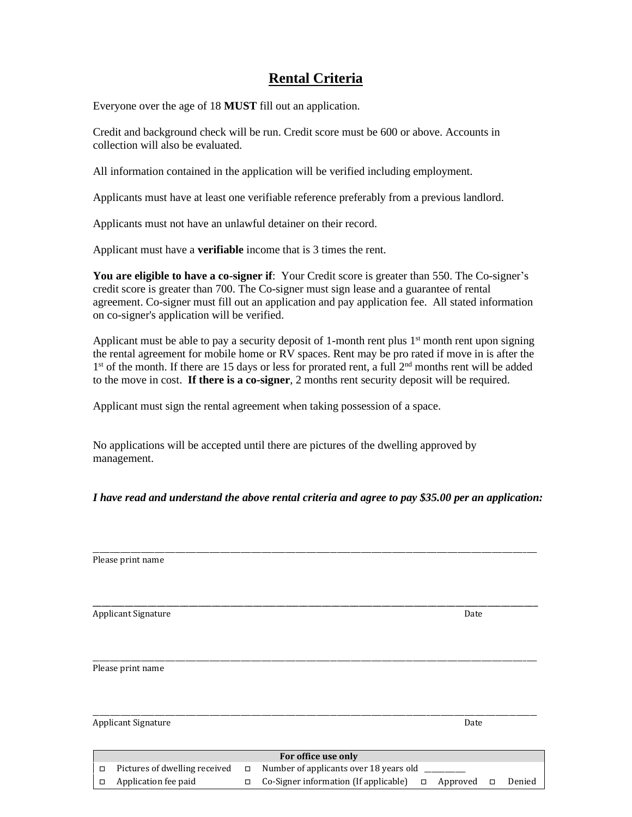# **Rental Criteria**

Everyone over the age of 18 **MUST** fill out an application.

Credit and background check will be run. Credit score must be 600 or above. Accounts in collection will also be evaluated.

All information contained in the application will be verified including employment.

Applicants must have at least one verifiable reference preferably from a previous landlord.

Applicants must not have an unlawful detainer on their record.

Applicant must have a **verifiable** income that is 3 times the rent.

**You are eligible to have a co-signer if**: Your Credit score is greater than 550. The Co-signer's credit score is greater than 700. The Co-signer must sign lease and a guarantee of rental agreement. Co-signer must fill out an application and pay application fee. All stated information on co-signer's application will be verified.

Applicant must be able to pay a security deposit of 1-month rent plus  $1<sup>st</sup>$  month rent upon signing the rental agreement for mobile home or RV spaces. Rent may be pro rated if move in is after the 1<sup>st</sup> of the month. If there are 15 days or less for prorated rent, a full 2<sup>nd</sup> months rent will be added to the move in cost. **If there is a co-signer**, 2 months rent security deposit will be required.

Applicant must sign the rental agreement when taking possession of a space.

No applications will be accepted until there are pictures of the dwelling approved by management.

*I have read and understand the above rental criteria and agree to pay \$35.00 per an application:*

|        | Please print name             |        |                                        |        |          |        |        |
|--------|-------------------------------|--------|----------------------------------------|--------|----------|--------|--------|
|        |                               |        |                                        |        |          |        |        |
|        |                               |        |                                        |        |          |        |        |
|        | Applicant Signature           |        |                                        |        | Date     |        |        |
|        |                               |        |                                        |        |          |        |        |
|        |                               |        |                                        |        |          |        |        |
|        | Please print name             |        |                                        |        |          |        |        |
|        |                               |        |                                        |        |          |        |        |
|        |                               |        |                                        |        |          |        |        |
|        |                               |        |                                        |        |          |        |        |
|        | <b>Applicant Signature</b>    |        |                                        |        | Date     |        |        |
|        |                               |        |                                        |        |          |        |        |
|        |                               |        | For office use only                    |        |          |        |        |
| $\Box$ | Pictures of dwelling received | $\Box$ | Number of applicants over 18 years old |        |          |        |        |
| $\Box$ | Application fee paid          | $\Box$ | Co-Signer information (If applicable)  | $\Box$ | Approved | $\Box$ | Denied |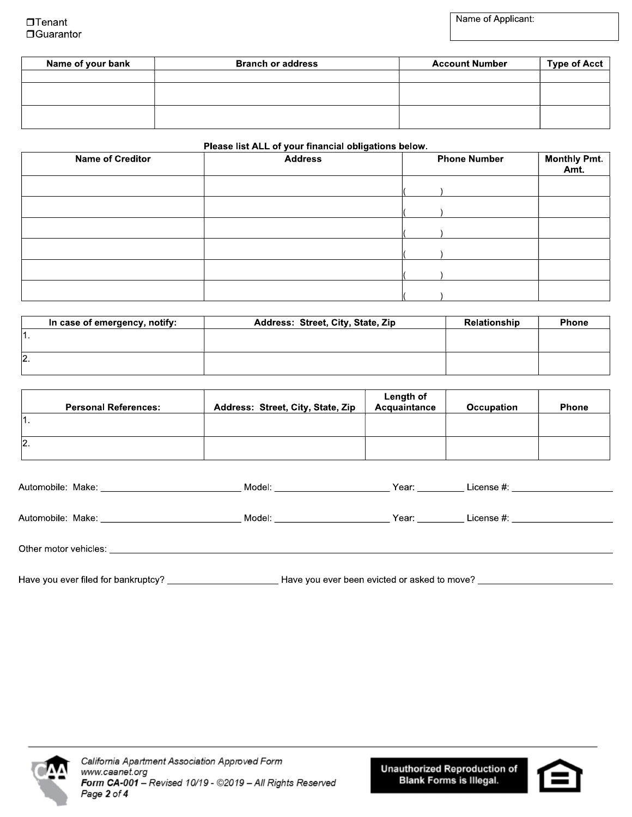| Name of your bank | <b>Branch or address</b> | <b>Account Number</b> | Type of Acct $ $ |
|-------------------|--------------------------|-----------------------|------------------|
|                   |                          |                       |                  |
|                   |                          |                       |                  |
|                   |                          |                       |                  |
|                   |                          |                       |                  |
|                   |                          |                       |                  |

### Please list ALL of your financial obligations below.

| <b>Name of Creditor</b> | . .<br>$\sim$<br><b>Address</b> | <b>Phone Number</b> | <b>Monthly Pmt.</b><br>Amt. |
|-------------------------|---------------------------------|---------------------|-----------------------------|
|                         |                                 |                     |                             |
|                         |                                 |                     |                             |
|                         |                                 |                     |                             |
|                         |                                 |                     |                             |
|                         |                                 |                     |                             |
|                         |                                 |                     |                             |

| In case of emergency, notify: | Address: Street, City, State, Zip | Relationship | <b>Phone</b> |
|-------------------------------|-----------------------------------|--------------|--------------|
|                               |                                   |              |              |
|                               |                                   |              |              |
| 12.                           |                                   |              |              |
|                               |                                   |              |              |

| <b>Personal References:</b> | Address: Street, City, State, Zip | Length of<br>Acquaintance | Occupation | <b>Phone</b> |
|-----------------------------|-----------------------------------|---------------------------|------------|--------------|
|                             |                                   |                           |            |              |
| $\mathsf{I2}.$              |                                   |                           |            |              |

| Automobile: Make:<br><u> 1980 - Jan Barbara Barbara, manazarta </u> | Model: | Year: | License #: |
|---------------------------------------------------------------------|--------|-------|------------|
|                                                                     |        |       |            |
| Automobile: Make:                                                   | Model: | Year: | License #: |
|                                                                     |        |       |            |
| Other motor vehicles:                                               |        |       |            |
|                                                                     |        |       |            |



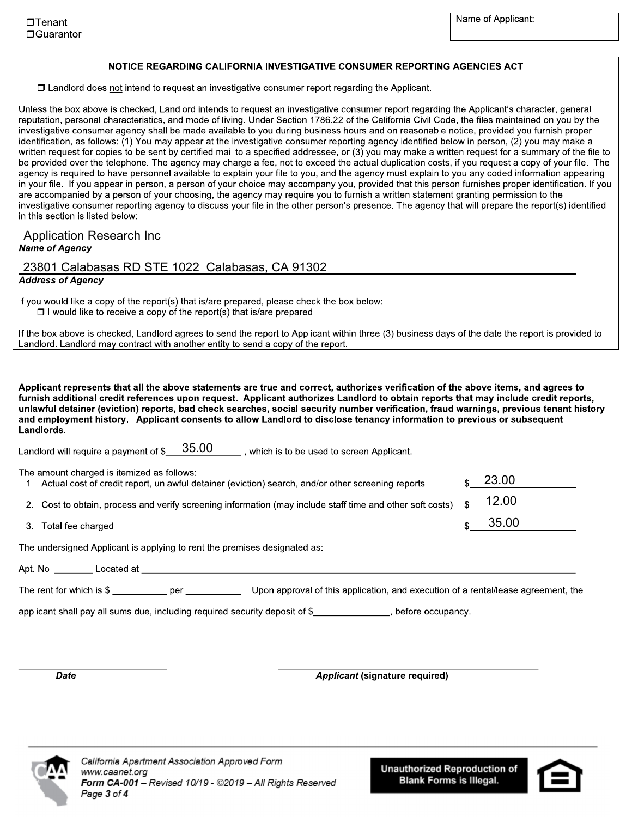23.00

12.00

35.00

### NOTICE REGARDING CALIFORNIA INVESTIGATIVE CONSUMER REPORTING AGENCIES ACT

 $\Box$  Landlord does not intend to request an investigative consumer report regarding the Applicant.

Unless the box above is checked, Landlord intends to request an investigative consumer report regarding the Applicant's character, general reputation, personal characteristics, and mode of living. Under Section 1786.22 of the California Civil Code, the files maintained on you by the investigative consumer agency shall be made available to you during business hours and on reasonable notice, provided you furnish proper identification, as follows: (1) You may appear at the investigative consumer reporting agency identified below in person, (2) you may make a written request for copies to be sent by certified mail to a specified addressee, or (3) you may make a written request for a summary of the file to be provided over the telephone. The agency may charge a fee, not to exceed the actual duplication costs, if you request a copy of your file. The agency is required to have personnel available to explain your file to you, and the agency must explain to you any coded information appearing in your file. If you appear in person, a person of your choice may accompany you, provided that this person furnishes proper identification. If you are accompanied by a person of your choosing, the agency may require you to furnish a written statement granting permission to the investigative consumer reporting agency to discuss your file in the other person's presence. The agency that will prepare the report(s) identified in this section is listed below:

### **Application Research Inc.**

**Name of Agency** 

## 23801 Calabasas RD STE 1022 Calabasas, CA 91302

### **Address of Agency**

If you would like a copy of the report(s) that is/are prepared, please check the box below:

 $\Box$  I would like to receive a copy of the report(s) that is/are prepared

If the box above is checked, Landlord agrees to send the report to Applicant within three (3) business days of the date the report is provided to Landlord. Landlord may contract with another entity to send a copy of the report.

Applicant represents that all the above statements are true and correct, authorizes verification of the above items, and agrees to furnish additional credit references upon request. Applicant authorizes Landlord to obtain reports that may include credit reports, unlawful detainer (eviction) reports, bad check searches, social security number verification, fraud warnings, previous tenant history and employment history. Applicant consents to allow Landlord to disclose tenancy information to previous or subsequent Landlords.

Landlord will require a payment of  $\frac{$35.00}{\ldots}$ , which is to be used to screen Applicant.

The amount charged is itemized as follows:

2. Cost to obtain, process and verify screening information (may include staff time and other soft costs)

1. Actual cost of credit report, unlawful detainer (eviction) search, and/or other screening reports

3. Total fee charged

The undersigned Applicant is applying to rent the premises designated as:

Apt. No. Located at the contract of the contract of the contract of the contract of the contract of the contract of the contract of the contract of the contract of the contract of the contract of the contract of the contra

The rent for which is \$ \_\_\_\_\_\_\_\_\_\_\_ per \_\_\_\_\_\_\_\_\_\_\_\_. Upon approval of this application, and execution of a rental/lease agreement, the

applicant shall pay all sums due, including required security deposit of \$

**Date** 

**Applicant (signature required)**